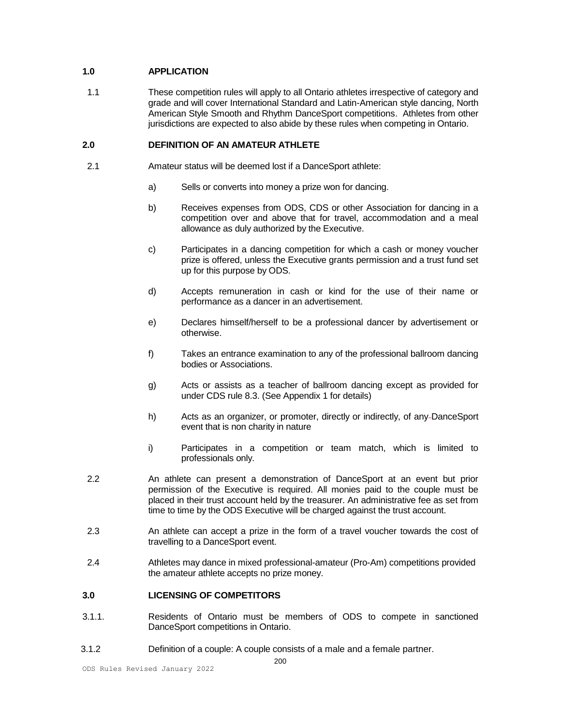# **1.0 APPLICATION**

 1.1 These competition rules will apply to all Ontario athletes irrespective of category and grade and will cover International Standard and Latin-American style dancing, North American Style Smooth and Rhythm DanceSport competitions. Athletes from other jurisdictions are expected to also abide by these rules when competing in Ontario.

# **2.0 DEFINITION OF AN AMATEUR ATHLETE**

- 2.1 Amateur status will be deemed lost if a DanceSport athlete:
	- a) Sells or converts into money a prize won for dancing.
	- b) Receives expenses from ODS, CDS or other Association for dancing in a competition over and above that for travel, accommodation and a meal allowance as duly authorized by the Executive.
	- c) Participates in a dancing competition for which a cash or money voucher prize is offered, unless the Executive grants permission and a trust fund set up for this purpose by ODS.
	- d) Accepts remuneration in cash or kind for the use of their name or performance as a dancer in an advertisement.
	- e) Declares himself/herself to be a professional dancer by advertisement or otherwise.
	- f) Takes an entrance examination to any of the professional ballroom dancing bodies or Associations.
	- g) Acts or assists as a teacher of ballroom dancing except as provided for under CDS rule 8.3. (See Appendix 1 for details)
	- h) Acts as an organizer, or promoter, directly or indirectly, of any DanceSport event that is non charity in nature
	- i) Participates in a competition or team match, which is limited to professionals only.
- 2.2 An athlete can present a demonstration of DanceSport at an event but prior permission of the Executive is required. All monies paid to the couple must be placed in their trust account held by the treasurer. An administrative fee as set from time to time by the ODS Executive will be charged against the trust account.
- 2.3 An athlete can accept a prize in the form of a travel voucher towards the cost of travelling to a DanceSport event.
- 2.4 Athletes may dance in mixed professional-amateur (Pro-Am) competitions provided the amateur athlete accepts no prize money.

# **3.0 LICENSING OF COMPETITORS**

- 3.1.1. Residents of Ontario must be members of ODS to compete in sanctioned DanceSport competitions in Ontario.
- 3.1.2 Definition of a couple: A couple consists of a male and a female partner.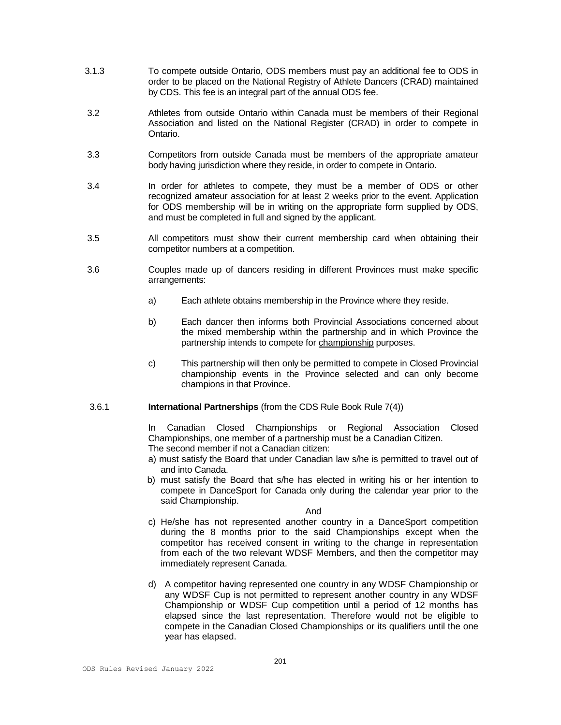- 3.1.3 To compete outside Ontario, ODS members must pay an additional fee to ODS in order to be placed on the National Registry of Athlete Dancers (CRAD) maintained by CDS. This fee is an integral part of the annual ODS fee.
- 3.2 Athletes from outside Ontario within Canada must be members of their Regional Association and listed on the National Register (CRAD) in order to compete in Ontario.
- 3.3 Competitors from outside Canada must be members of the appropriate amateur body having jurisdiction where they reside, in order to compete in Ontario.
- 3.4 In order for athletes to compete, they must be a member of ODS or other recognized amateur association for at least 2 weeks prior to the event. Application for ODS membership will be in writing on the appropriate form supplied by ODS, and must be completed in full and signed by the applicant.
- 3.5 All competitors must show their current membership card when obtaining their competitor numbers at a competition.
- 3.6 Couples made up of dancers residing in different Provinces must make specific arrangements:
	- a) Each athlete obtains membership in the Province where they reside.
	- b) Each dancer then informs both Provincial Associations concerned about the mixed membership within the partnership and in which Province the partnership intends to compete for championship purposes.
	- c) This partnership will then only be permitted to compete in Closed Provincial championship events in the Province selected and can only become champions in that Province.

#### 3.6.1 **International Partnerships** (from the CDS Rule Book Rule 7(4))

In Canadian Closed Championships or Regional Association Closed Championships, one member of a partnership must be a Canadian Citizen. The second member if not a Canadian citizen:

- a) must satisfy the Board that under Canadian law s/he is permitted to travel out of and into Canada.
- b) must satisfy the Board that s/he has elected in writing his or her intention to compete in DanceSport for Canada only during the calendar year prior to the said Championship.

#### And

- c) He/she has not represented another country in a DanceSport competition during the 8 months prior to the said Championships except when the competitor has received consent in writing to the change in representation from each of the two relevant WDSF Members, and then the competitor may immediately represent Canada.
- d) A competitor having represented one country in any WDSF Championship or any WDSF Cup is not permitted to represent another country in any WDSF Championship or WDSF Cup competition until a period of 12 months has elapsed since the last representation. Therefore would not be eligible to compete in the Canadian Closed Championships or its qualifiers until the one year has elapsed.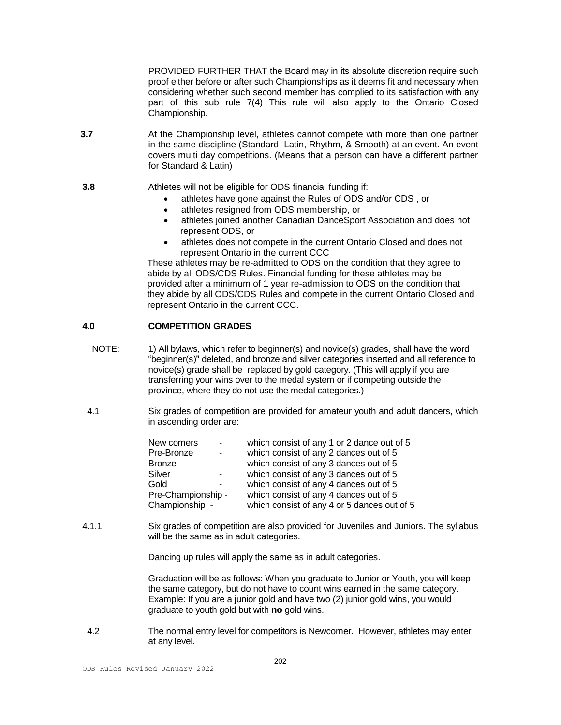PROVIDED FURTHER THAT the Board may in its absolute discretion require such proof either before or after such Championships as it deems fit and necessary when considering whether such second member has complied to its satisfaction with any part of this sub rule 7(4) This rule will also apply to the Ontario Closed Championship.

- **3.7** At the Championship level, athletes cannot compete with more than one partner in the same discipline (Standard, Latin, Rhythm, & Smooth) at an event. An event covers multi day competitions. (Means that a person can have a different partner for Standard & Latin)
- **3.8** Athletes will not be eligible for ODS financial funding if:
	- athletes have gone against the Rules of ODS and/or CDS , or
	- athletes resigned from ODS membership, or
	- athletes joined another Canadian DanceSport Association and does not represent ODS, or
	- athletes does not compete in the current Ontario Closed and does not represent Ontario in the current CCC

These athletes may be re-admitted to ODS on the condition that they agree to abide by all ODS/CDS Rules. Financial funding for these athletes may be provided after a minimum of 1 year re-admission to ODS on the condition that they abide by all ODS/CDS Rules and compete in the current Ontario Closed and represent Ontario in the current CCC.

### **4.0 COMPETITION GRADES**

- NOTE: 1) All bylaws, which refer to beginner(s) and novice(s) grades, shall have the word "beginner(s)" deleted, and bronze and silver categories inserted and all reference to novice(s) grade shall be replaced by gold category. (This will apply if you are transferring your wins over to the medal system or if competing outside the province, where they do not use the medal categories.)
- 4.1 Six grades of competition are provided for amateur youth and adult dancers, which in ascending order are:

| New comers         | $\sim$                   | which consist of any 1 or 2 dance out of 5  |
|--------------------|--------------------------|---------------------------------------------|
| Pre-Bronze         | $\sim$                   | which consist of any 2 dances out of 5      |
| <b>Bronze</b>      | $\blacksquare$           | which consist of any 3 dances out of 5      |
| Silver             | $\sim$                   | which consist of any 3 dances out of 5      |
| Gold               | $\overline{\phantom{a}}$ | which consist of any 4 dances out of 5      |
| Pre-Championship - |                          | which consist of any 4 dances out of 5      |
| Championship -     |                          | which consist of any 4 or 5 dances out of 5 |

4.1.1 Six grades of competition are also provided for Juveniles and Juniors. The syllabus will be the same as in adult categories.

Dancing up rules will apply the same as in adult categories.

Graduation will be as follows: When you graduate to Junior or Youth, you will keep the same category, but do not have to count wins earned in the same category. Example: If you are a junior gold and have two (2) junior gold wins, you would graduate to youth gold but with **no** gold wins.

 4.2 The normal entry level for competitors is Newcomer. However, athletes may enter at any level.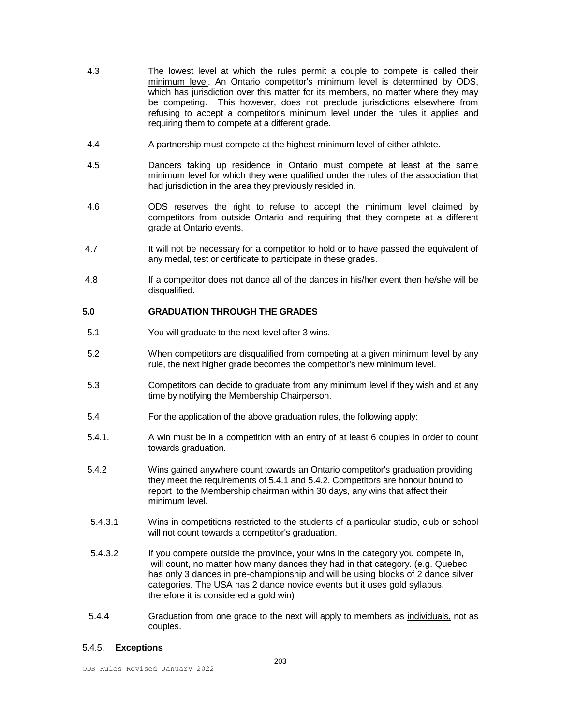- 4.3 The lowest level at which the rules permit a couple to compete is called their minimum level. An Ontario competitor's minimum level is determined by ODS, which has jurisdiction over this matter for its members, no matter where they may be competing. This however, does not preclude jurisdictions elsewhere from refusing to accept a competitor's minimum level under the rules it applies and requiring them to compete at a different grade.
- 4.4 A partnership must compete at the highest minimum level of either athlete.
- 4.5 Dancers taking up residence in Ontario must compete at least at the same minimum level for which they were qualified under the rules of the association that had jurisdiction in the area they previously resided in.
- 4.6 ODS reserves the right to refuse to accept the minimum level claimed by competitors from outside Ontario and requiring that they compete at a different grade at Ontario events.
- 4.7 **It will not be necessary for a competitor to hold or to have passed the equivalent of** any medal, test or certificate to participate in these grades.
- 4.8 If a competitor does not dance all of the dances in his/her event then he/she will be disqualified.

### **5.0 GRADUATION THROUGH THE GRADES**

- 5.1 You will graduate to the next level after 3 wins.
- 5.2 When competitors are disqualified from competing at a given minimum level by any rule, the next higher grade becomes the competitor's new minimum level.
- 5.3 Competitors can decide to graduate from any minimum level if they wish and at any time by notifying the Membership Chairperson.
- 5.4 For the application of the above graduation rules, the following apply:
- 5.4.1. A win must be in a competition with an entry of at least 6 couples in order to count towards graduation.
- 5.4.2 Wins gained anywhere count towards an Ontario competitor's graduation providing they meet the requirements of 5.4.1 and 5.4.2. Competitors are honour bound to report to the Membership chairman within 30 days, any wins that affect their minimum level.
- 5.4.3.1 Wins in competitions restricted to the students of a particular studio, club or school will not count towards a competitor's graduation.
- 5.4.3.2 If you compete outside the province, your wins in the category you compete in, will count, no matter how many dances they had in that category. (e.g. Quebec has only 3 dances in pre-championship and will be using blocks of 2 dance silver categories. The USA has 2 dance novice events but it uses gold syllabus, therefore it is considered a gold win)
- 5.4.4 Graduation from one grade to the next will apply to members as individuals, not as couples.

#### 5.4.5. **Exceptions**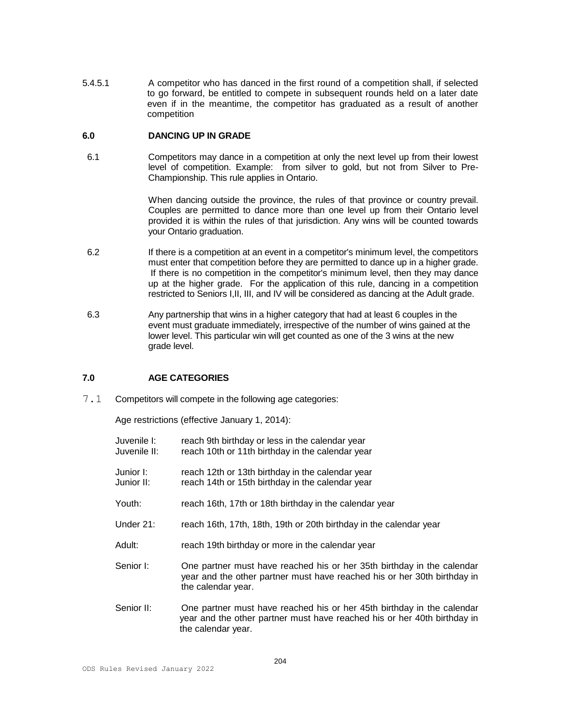5.4.5.1 A competitor who has danced in the first round of a competition shall, if selected to go forward, be entitled to compete in subsequent rounds held on a later date even if in the meantime, the competitor has graduated as a result of another competition

### **6.0 DANCING UP IN GRADE**

 6.1 Competitors may dance in a competition at only the next level up from their lowest level of competition. Example: from silver to gold, but not from Silver to Pre-Championship. This rule applies in Ontario.

> When dancing outside the province, the rules of that province or country prevail. Couples are permitted to dance more than one level up from their Ontario level provided it is within the rules of that jurisdiction. Any wins will be counted towards your Ontario graduation.

- 6.2 If there is a competition at an event in a competitor's minimum level, the competitors must enter that competition before they are permitted to dance up in a higher grade. If there is no competition in the competitor's minimum level, then they may dance up at the higher grade. For the application of this rule, dancing in a competition restricted to Seniors I,II, III, and IV will be considered as dancing at the Adult grade.
- 6.3 Any partnership that wins in a higher category that had at least 6 couples in the event must graduate immediately, irrespective of the number of wins gained at the lower level. This particular win will get counted as one of the 3 wins at the new grade level.

# **7.0 AGE CATEGORIES**

7.1 Competitors will compete in the following age categories:

Age restrictions (effective January 1, 2014):

- Juvenile I: reach 9th birthday or less in the calendar year Juvenile II: reach 10th or 11th birthday in the calendar year
- Junior I: reach 12th or 13th birthday in the calendar year Junior II: reach 14th or 15th birthday in the calendar year
- Youth: reach 16th, 17th or 18th birthday in the calendar year
- Under 21: reach 16th, 17th, 18th, 19th or 20th birthday in the calendar year
- Adult: reach 19th birthday or more in the calendar year
- Senior I: One partner must have reached his or her 35th birthday in the calendar year and the other partner must have reached his or her 30th birthday in the calendar year.
- Senior II: One partner must have reached his or her 45th birthday in the calendar year and the other partner must have reached his or her 40th birthday in the calendar year.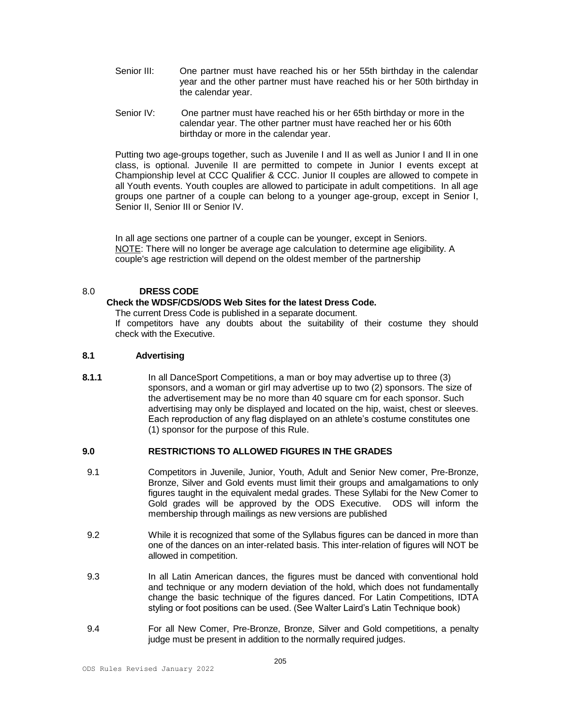- Senior III: One partner must have reached his or her 55th birthday in the calendar year and the other partner must have reached his or her 50th birthday in the calendar year.
- Senior IV: One partner must have reached his or her 65th birthday or more in the calendar year. The other partner must have reached her or his 60th birthday or more in the calendar year.

Putting two age-groups together, such as Juvenile I and II as well as Junior I and II in one class, is optional. Juvenile II are permitted to compete in Junior I events except at Championship level at CCC Qualifier & CCC. Junior II couples are allowed to compete in all Youth events. Youth couples are allowed to participate in adult competitions. In all age groups one partner of a couple can belong to a younger age-group, except in Senior I, Senior II, Senior III or Senior IV.

In all age sections one partner of a couple can be younger, except in Seniors. NOTE: There will no longer be average age calculation to determine age eligibility. A couple's age restriction will depend on the oldest member of the partnership

# 8.0 **DRESS CODE**

## **Check the WDSF/CDS/ODS Web Sites for the latest Dress Code.**

The current Dress Code is published in a separate document.

If competitors have any doubts about the suitability of their costume they should check with the Executive.

## **8.1 Advertising**

**8.1.1** In all DanceSport Competitions, a man or boy may advertise up to three (3) sponsors, and a woman or girl may advertise up to two (2) sponsors. The size of the advertisement may be no more than 40 square cm for each sponsor. Such advertising may only be displayed and located on the hip, waist, chest or sleeves. Each reproduction of any flag displayed on an athlete's costume constitutes one (1) sponsor for the purpose of this Rule.

# **9.0 RESTRICTIONS TO ALLOWED FIGURES IN THE GRADES**

- 9.1 Competitors in Juvenile, Junior, Youth, Adult and Senior New comer, Pre-Bronze, Bronze, Silver and Gold events must limit their groups and amalgamations to only figures taught in the equivalent medal grades. These Syllabi for the New Comer to Gold grades will be approved by the ODS Executive. ODS will inform the membership through mailings as new versions are published
- 9.2 While it is recognized that some of the Syllabus figures can be danced in more than one of the dances on an inter-related basis. This inter-relation of figures will NOT be allowed in competition.
- 9.3 In all Latin American dances, the figures must be danced with conventional hold and technique or any modern deviation of the hold, which does not fundamentally change the basic technique of the figures danced. For Latin Competitions, IDTA styling or foot positions can be used. (See Walter Laird's Latin Technique book)
- 9.4 For all New Comer, Pre-Bronze, Bronze, Silver and Gold competitions, a penalty judge must be present in addition to the normally required judges.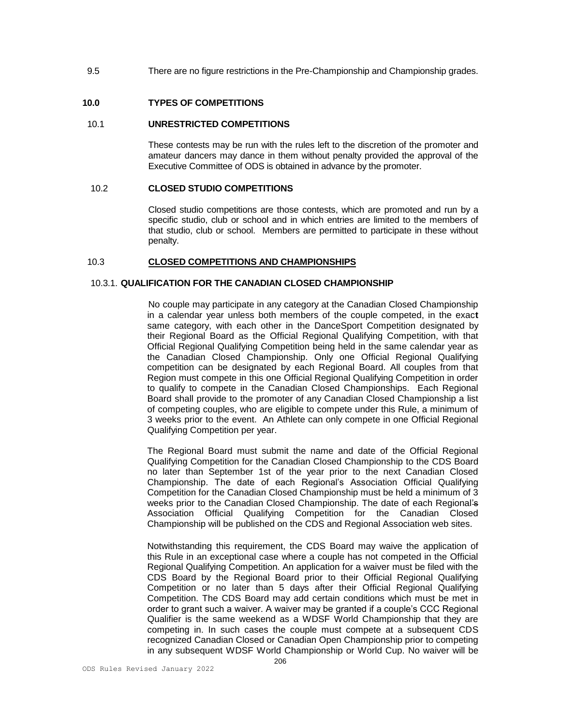9.5 There are no figure restrictions in the Pre-Championship and Championship grades.

## **10.0 TYPES OF COMPETITIONS**

#### 10.1 **UNRESTRICTED COMPETITIONS**

 These contests may be run with the rules left to the discretion of the promoter and amateur dancers may dance in them without penalty provided the approval of the Executive Committee of ODS is obtained in advance by the promoter.

#### 10.2 **CLOSED STUDIO COMPETITIONS**

Closed studio competitions are those contests, which are promoted and run by a specific studio, club or school and in which entries are limited to the members of that studio, club or school. Members are permitted to participate in these without penalty.

### 10.3 **CLOSED COMPETITIONS AND CHAMPIONSHIPS**

#### 10.3.1. **QUALIFICATION FOR THE CANADIAN CLOSED CHAMPIONSHIP**

No couple may participate in any category at the Canadian Closed Championship in a calendar year unless both members of the couple competed, in the exac**t** same category, with each other in the DanceSport Competition designated by their Regional Board as the Official Regional Qualifying Competition, with that Official Regional Qualifying Competition being held in the same calendar year as the Canadian Closed Championship. Only one Official Regional Qualifying competition can be designated by each Regional Board. All couples from that Region must compete in this one Official Regional Qualifying Competition in order to qualify to compete in the Canadian Closed Championships. Each Regional Board shall provide to the promoter of any Canadian Closed Championship a list of competing couples, who are eligible to compete under this Rule, a minimum of 3 weeks prior to the event. An Athlete can only compete in one Official Regional Qualifying Competition per year.

The Regional Board must submit the name and date of the Official Regional Qualifying Competition for the Canadian Closed Championship to the CDS Board no later than September 1st of the year prior to the next Canadian Closed Championship. The date of each Regional's Association Official Qualifying Competition for the Canadian Closed Championship must be held a minimum of 3 weeks prior to the Canadian Closed Championship. The date of each Regional's Association Official Qualifying Competition for the Canadian Closed Championship will be published on the CDS and Regional Association web sites.

Notwithstanding this requirement, the CDS Board may waive the application of this Rule in an exceptional case where a couple has not competed in the Official Regional Qualifying Competition. An application for a waiver must be filed with the CDS Board by the Regional Board prior to their Official Regional Qualifying Competition or no later than 5 days after their Official Regional Qualifying Competition. The CDS Board may add certain conditions which must be met in order to grant such a waiver. A waiver may be granted if a couple's CCC Regional Qualifier is the same weekend as a WDSF World Championship that they are competing in. In such cases the couple must compete at a subsequent CDS recognized Canadian Closed or Canadian Open Championship prior to competing in any subsequent WDSF World Championship or World Cup. No waiver will be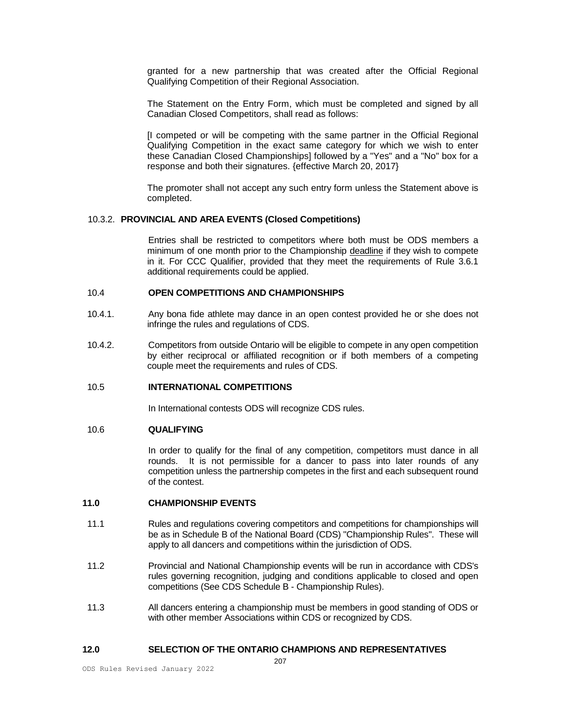granted for a new partnership that was created after the Official Regional Qualifying Competition of their Regional Association.

The Statement on the Entry Form, which must be completed and signed by all Canadian Closed Competitors, shall read as follows:

[I competed or will be competing with the same partner in the Official Regional Qualifying Competition in the exact same category for which we wish to enter these Canadian Closed Championships] followed by a "Yes" and a "No" box for a response and both their signatures. {effective March 20, 2017}

The promoter shall not accept any such entry form unless the Statement above is completed.

# 10.3.2. **PROVINCIAL AND AREA EVENTS (Closed Competitions)**

 Entries shall be restricted to competitors where both must be ODS members a minimum of one month prior to the Championship deadline if they wish to compete in it. For CCC Qualifier, provided that they meet the requirements of Rule 3.6.1 additional requirements could be applied.

### 10.4 **OPEN COMPETITIONS AND CHAMPIONSHIPS**

- 10.4.1. Any bona fide athlete may dance in an open contest provided he or she does not infringe the rules and regulations of CDS.
- 10.4.2. Competitors from outside Ontario will be eligible to compete in any open competition by either reciprocal or affiliated recognition or if both members of a competing couple meet the requirements and rules of CDS.

# 10.5 **INTERNATIONAL COMPETITIONS**

In International contests ODS will recognize CDS rules.

# 10.6 **QUALIFYING**

 In order to qualify for the final of any competition, competitors must dance in all rounds. It is not permissible for a dancer to pass into later rounds of any competition unless the partnership competes in the first and each subsequent round of the contest.

#### **11.0 CHAMPIONSHIP EVENTS**

- 11.1 Rules and regulations covering competitors and competitions for championships will be as in Schedule B of the National Board (CDS) "Championship Rules". These will apply to all dancers and competitions within the jurisdiction of ODS.
- 11.2 Provincial and National Championship events will be run in accordance with CDS's rules governing recognition, judging and conditions applicable to closed and open competitions (See CDS Schedule B - Championship Rules).
- 11.3 All dancers entering a championship must be members in good standing of ODS or with other member Associations within CDS or recognized by CDS.

### **12.0 SELECTION OF THE ONTARIO CHAMPIONS AND REPRESENTATIVES**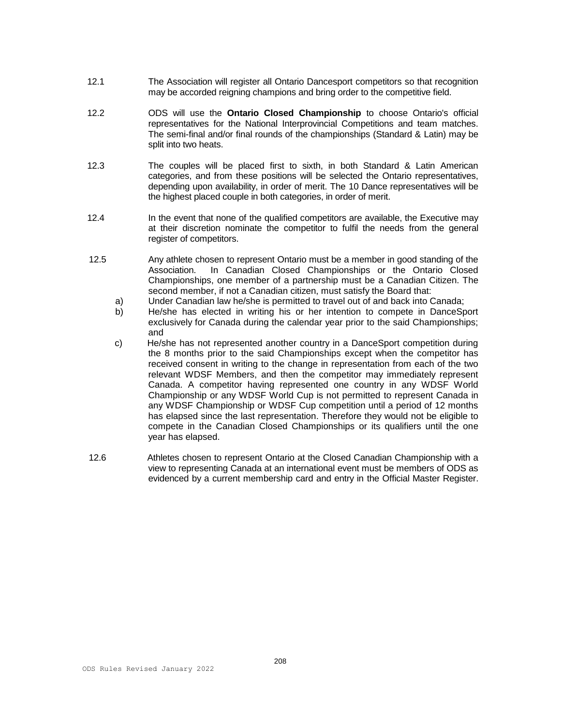- 12.1 The Association will register all Ontario Dancesport competitors so that recognition may be accorded reigning champions and bring order to the competitive field.
- 12.2 ODS will use the **Ontario Closed Championship** to choose Ontario's official representatives for the National Interprovincial Competitions and team matches. The semi-final and/or final rounds of the championships (Standard & Latin) may be split into two heats.
- 12.3 The couples will be placed first to sixth, in both Standard & Latin American categories, and from these positions will be selected the Ontario representatives, depending upon availability, in order of merit. The 10 Dance representatives will be the highest placed couple in both categories, in order of merit.
- 12.4 In the event that none of the qualified competitors are available, the Executive may at their discretion nominate the competitor to fulfil the needs from the general register of competitors.
- 12.5 Any athlete chosen to represent Ontario must be a member in good standing of the Association. In Canadian Closed Championships or the Ontario Closed Championships, one member of a partnership must be a Canadian Citizen. The second member, if not a Canadian citizen, must satisfy the Board that:
	- a) Under Canadian law he/she is permitted to travel out of and back into Canada;
	- b) He/she has elected in writing his or her intention to compete in DanceSport exclusively for Canada during the calendar year prior to the said Championships; and
	- c) He/she has not represented another country in a DanceSport competition during the 8 months prior to the said Championships except when the competitor has received consent in writing to the change in representation from each of the two relevant WDSF Members, and then the competitor may immediately represent Canada. A competitor having represented one country in any WDSF World Championship or any WDSF World Cup is not permitted to represent Canada in any WDSF Championship or WDSF Cup competition until a period of 12 months has elapsed since the last representation. Therefore they would not be eligible to compete in the Canadian Closed Championships or its qualifiers until the one year has elapsed.
- 12.6 Athletes chosen to represent Ontario at the Closed Canadian Championship with a view to representing Canada at an international event must be members of ODS as evidenced by a current membership card and entry in the Official Master Register.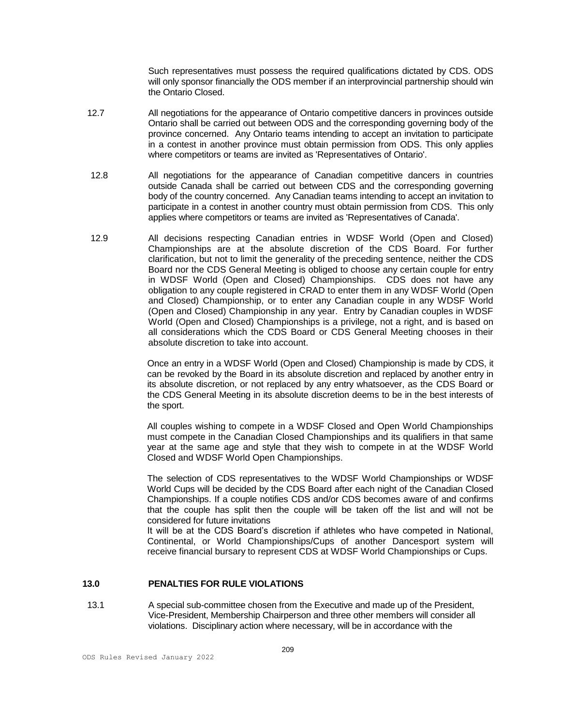Such representatives must possess the required qualifications dictated by CDS. ODS will only sponsor financially the ODS member if an interprovincial partnership should win the Ontario Closed.

- 12.7 All negotiations for the appearance of Ontario competitive dancers in provinces outside Ontario shall be carried out between ODS and the corresponding governing body of the province concerned. Any Ontario teams intending to accept an invitation to participate in a contest in another province must obtain permission from ODS. This only applies where competitors or teams are invited as 'Representatives of Ontario'.
- 12.8 All negotiations for the appearance of Canadian competitive dancers in countries outside Canada shall be carried out between CDS and the corresponding governing body of the country concerned. Any Canadian teams intending to accept an invitation to participate in a contest in another country must obtain permission from CDS. This only applies where competitors or teams are invited as 'Representatives of Canada'.
- 12.9 All decisions respecting Canadian entries in WDSF World (Open and Closed) Championships are at the absolute discretion of the CDS Board. For further clarification, but not to limit the generality of the preceding sentence, neither the CDS Board nor the CDS General Meeting is obliged to choose any certain couple for entry in WDSF World (Open and Closed) Championships. CDS does not have any obligation to any couple registered in CRAD to enter them in any WDSF World (Open and Closed) Championship, or to enter any Canadian couple in any WDSF World (Open and Closed) Championship in any year. Entry by Canadian couples in WDSF World (Open and Closed) Championships is a privilege, not a right, and is based on all considerations which the CDS Board or CDS General Meeting chooses in their absolute discretion to take into account.

Once an entry in a WDSF World (Open and Closed) Championship is made by CDS, it can be revoked by the Board in its absolute discretion and replaced by another entry in its absolute discretion, or not replaced by any entry whatsoever, as the CDS Board or the CDS General Meeting in its absolute discretion deems to be in the best interests of the sport.

All couples wishing to compete in a WDSF Closed and Open World Championships must compete in the Canadian Closed Championships and its qualifiers in that same year at the same age and style that they wish to compete in at the WDSF World Closed and WDSF World Open Championships.

The selection of CDS representatives to the WDSF World Championships or WDSF World Cups will be decided by the CDS Board after each night of the Canadian Closed Championships. If a couple notifies CDS and/or CDS becomes aware of and confirms that the couple has split then the couple will be taken off the list and will not be considered for future invitations

It will be at the CDS Board's discretion if athletes who have competed in National, Continental, or World Championships/Cups of another Dancesport system will receive financial bursary to represent CDS at WDSF World Championships or Cups.

# **13.0 PENALTIES FOR RULE VIOLATIONS**

 13.1 A special sub-committee chosen from the Executive and made up of the President, Vice-President, Membership Chairperson and three other members will consider all violations. Disciplinary action where necessary, will be in accordance with the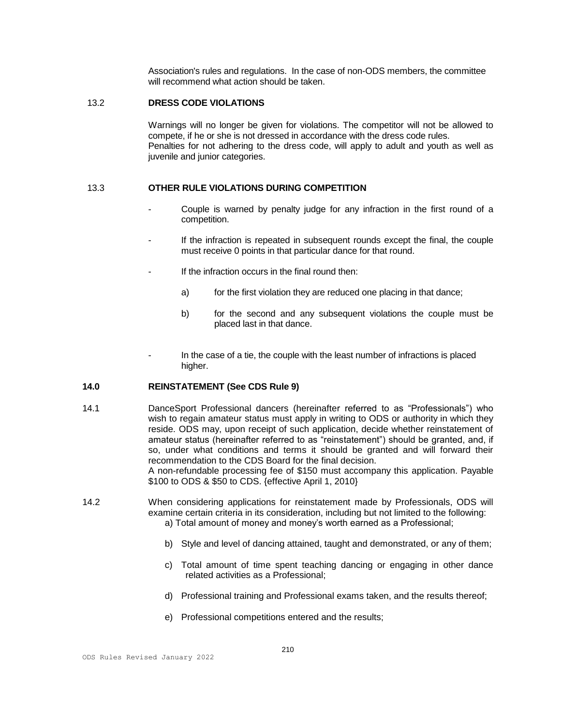Association's rules and regulations. In the case of non-ODS members, the committee will recommend what action should be taken.

#### 13.2 **DRESS CODE VIOLATIONS**

Warnings will no longer be given for violations. The competitor will not be allowed to compete, if he or she is not dressed in accordance with the dress code rules. Penalties for not adhering to the dress code, will apply to adult and youth as well as juvenile and junior categories.

#### 13.3 **OTHER RULE VIOLATIONS DURING COMPETITION**

- Couple is warned by penalty judge for any infraction in the first round of a competition.
- If the infraction is repeated in subsequent rounds except the final, the couple must receive 0 points in that particular dance for that round.
- If the infraction occurs in the final round then:
	- a) for the first violation they are reduced one placing in that dance;
	- b) for the second and any subsequent violations the couple must be placed last in that dance.
- In the case of a tie, the couple with the least number of infractions is placed higher.

#### **14.0 REINSTATEMENT (See CDS Rule 9)**

- 14.1 DanceSport Professional dancers (hereinafter referred to as "Professionals") who wish to regain amateur status must apply in writing to ODS or authority in which they reside. ODS may, upon receipt of such application, decide whether reinstatement of amateur status (hereinafter referred to as "reinstatement") should be granted, and, if so, under what conditions and terms it should be granted and will forward their recommendation to the CDS Board for the final decision. A non-refundable processing fee of \$150 must accompany this application. Payable \$100 to ODS & \$50 to CDS. {effective April 1, 2010}
- 14.2 When considering applications for reinstatement made by Professionals, ODS will examine certain criteria in its consideration, including but not limited to the following:
	- a) Total amount of money and money's worth earned as a Professional;
	- b) Style and level of dancing attained, taught and demonstrated, or any of them;
	- c) Total amount of time spent teaching dancing or engaging in other dance related activities as a Professional;
	- d) Professional training and Professional exams taken, and the results thereof;
	- e) Professional competitions entered and the results;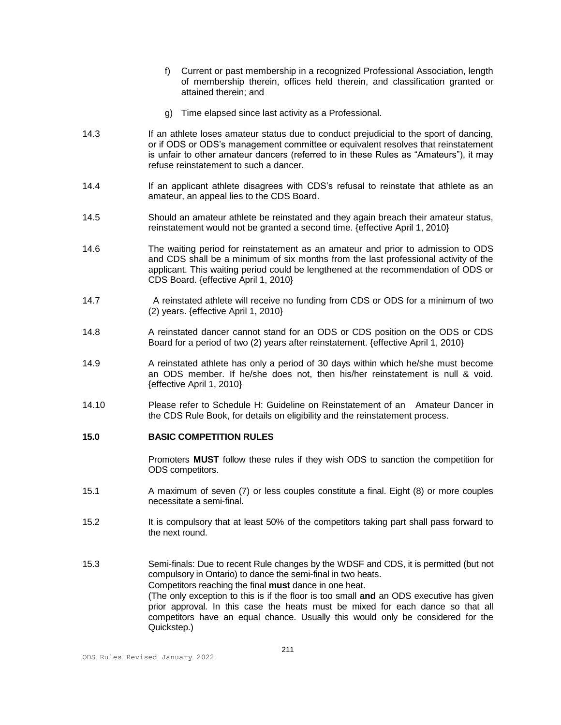- f) Current or past membership in a recognized Professional Association, length of membership therein, offices held therein, and classification granted or attained therein; and
- g) Time elapsed since last activity as a Professional.
- 14.3 If an athlete loses amateur status due to conduct prejudicial to the sport of dancing, or if ODS or ODS's management committee or equivalent resolves that reinstatement is unfair to other amateur dancers (referred to in these Rules as "Amateurs"), it may refuse reinstatement to such a dancer.
- 14.4 If an applicant athlete disagrees with CDS's refusal to reinstate that athlete as an amateur, an appeal lies to the CDS Board.
- 14.5 Should an amateur athlete be reinstated and they again breach their amateur status, reinstatement would not be granted a second time. {effective April 1, 2010}
- 14.6 The waiting period for reinstatement as an amateur and prior to admission to ODS and CDS shall be a minimum of six months from the last professional activity of the applicant. This waiting period could be lengthened at the recommendation of ODS or CDS Board. {effective April 1, 2010}
- 14.7 A reinstated athlete will receive no funding from CDS or ODS for a minimum of two (2) years. {effective April 1, 2010}
- 14.8 A reinstated dancer cannot stand for an ODS or CDS position on the ODS or CDS Board for a period of two (2) years after reinstatement. {effective April 1, 2010}
- 14.9 A reinstated athlete has only a period of 30 days within which he/she must become an ODS member. If he/she does not, then his/her reinstatement is null & void. {effective April 1, 2010}
- 14.10 Please refer to Schedule H: Guideline on Reinstatement of an Amateur Dancer in the CDS Rule Book, for details on eligibility and the reinstatement process.

#### **15.0 BASIC COMPETITION RULES**

 Promoters **MUST** follow these rules if they wish ODS to sanction the competition for ODS competitors.

- 15.1 A maximum of seven (7) or less couples constitute a final. Eight (8) or more couples necessitate a semi-final.
- 15.2 It is compulsory that at least 50% of the competitors taking part shall pass forward to the next round.
- 15.3 Semi-finals: Due to recent Rule changes by the WDSF and CDS, it is permitted (but not compulsory in Ontario) to dance the semi-final in two heats. Competitors reaching the final **must** dance in one heat. (The only exception to this is if the floor is too small **and** an ODS executive has given prior approval. In this case the heats must be mixed for each dance so that all competitors have an equal chance. Usually this would only be considered for the Quickstep.)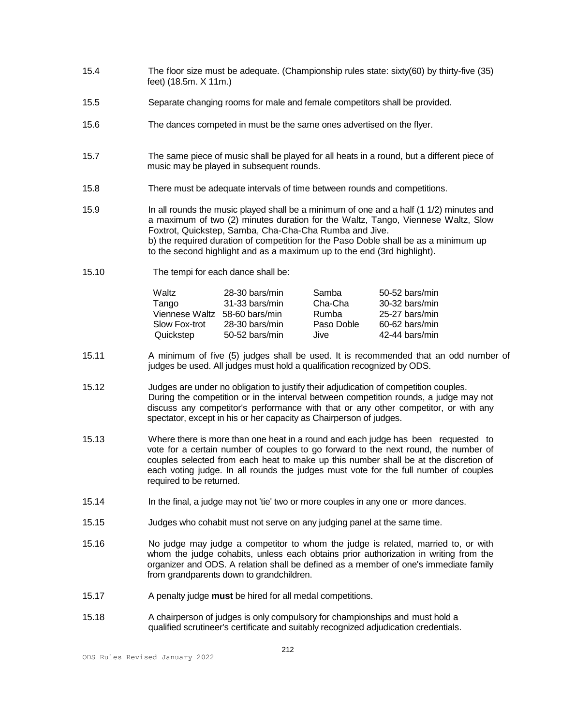- 15.4 The floor size must be adequate. (Championship rules state: sixty(60) by thirty-five (35) feet) (18.5m. X 11m.)
- 15.5 Separate changing rooms for male and female competitors shall be provided.
- 15.6 The dances competed in must be the same ones advertised on the flyer.
- 15.7 The same piece of music shall be played for all heats in a round, but a different piece of music may be played in subsequent rounds.
- 15.8 There must be adequate intervals of time between rounds and competitions.
- 15.9 In all rounds the music played shall be a minimum of one and a half (1 1/2) minutes and a maximum of two (2) minutes duration for the Waltz, Tango, Viennese Waltz, Slow Foxtrot, Quickstep, Samba, Cha-Cha-Cha Rumba and Jive. b) the required duration of competition for the Paso Doble shall be as a minimum up to the second highlight and as a maximum up to the end (3rd highlight).
- 15.10 The tempi for each dance shall be:

| Waltz<br>Tango<br>Viennese Waltz 58-60 bars/min | 28-30 bars/min<br>31-33 bars/min | Samba<br>Cha-Cha<br>Rumba | 50-52 bars/min<br>30-32 bars/min<br>25-27 bars/min |
|-------------------------------------------------|----------------------------------|---------------------------|----------------------------------------------------|
| Slow Fox-trot                                   | 28-30 bars/min                   | Paso Doble                | 60-62 bars/min                                     |
| Quickstep                                       | 50-52 bars/min                   | Jive                      | 42-44 bars/min                                     |

- 15.11 A minimum of five (5) judges shall be used. It is recommended that an odd number of judges be used. All judges must hold a qualification recognized by ODS.
- 15.12 Judges are under no obligation to justify their adjudication of competition couples. During the competition or in the interval between competition rounds, a judge may not discuss any competitor's performance with that or any other competitor, or with any spectator, except in his or her capacity as Chairperson of judges.
- 15.13 Where there is more than one heat in a round and each judge has been requested to vote for a certain number of couples to go forward to the next round, the number of couples selected from each heat to make up this number shall be at the discretion of each voting judge. In all rounds the judges must vote for the full number of couples required to be returned.
- 15.14 In the final, a judge may not 'tie' two or more couples in any one or more dances.
- 15.15 Judges who cohabit must not serve on any judging panel at the same time.
- 15.16 No judge may judge a competitor to whom the judge is related, married to, or with whom the judge cohabits, unless each obtains prior authorization in writing from the organizer and ODS. A relation shall be defined as a member of one's immediate family from grandparents down to grandchildren.
- 15.17 A penalty judge **must** be hired for all medal competitions.
- 15.18 A chairperson of judges is only compulsory for championships and must hold a qualified scrutineer's certificate and suitably recognized adjudication credentials.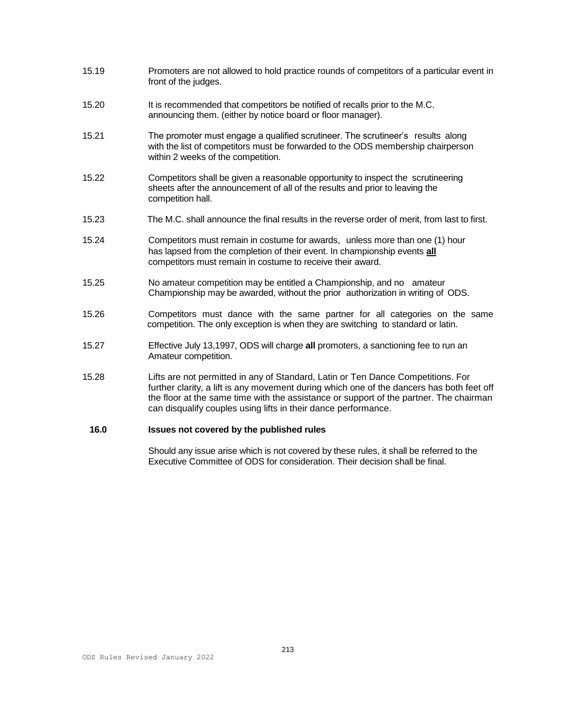- 15.19 Promoters are not allowed to hold practice rounds of competitors of a particular event in front of the judges.
- 15.20 It is recommended that competitors be notified of recalls prior to the M.C. announcing them. (either by notice board or floor manager).
- 15.21 The promoter must engage a qualified scrutineer. The scrutineer's results along with the list of competitors must be forwarded to the ODS membership chairperson within 2 weeks of the competition.
- 15.22 Competitors shall be given a reasonable opportunity to inspect the scrutineering sheets after the announcement of all of the results and prior to leaving the competition hall.
- 15.23 The M.C. shall announce the final results in the reverse order of merit, from last to first.
- 15.24 Competitors must remain in costume for awards, unless more than one (1) hour has lapsed from the completion of their event. In championship events **all** competitors must remain in costume to receive their award.
- 15.25 No amateur competition may be entitled a Championship, and no amateur Championship may be awarded, without the prior authorization in writing of ODS.
- 15.26 Competitors must dance with the same partner for all categories on the same competition. The only exception is when they are switching to standard or latin.
- 15.27 Effective July 13,1997, ODS will charge **all** promoters, a sanctioning fee to run an Amateur competition.
- 15.28 Lifts are not permitted in any of Standard, Latin or Ten Dance Competitions. For further clarity, a lift is any movement during which one of the dancers has both feet off the floor at the same time with the assistance or support of the partner. The chairman can disqualify couples using lifts in their dance performance.

# **16.0 Issues not covered by the published rules**

Should any issue arise which is not covered by these rules, it shall be referred to the Executive Committee of ODS for consideration. Their decision shall be final.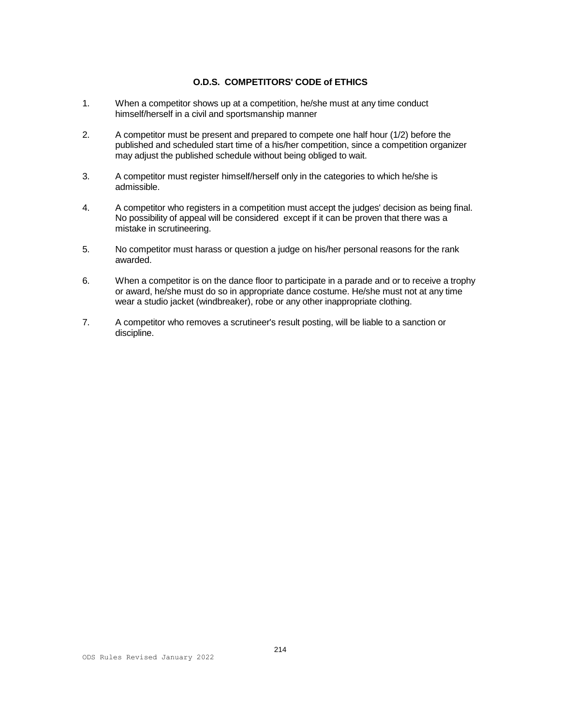# **O.D.S. COMPETITORS' CODE of ETHICS**

- 1. When a competitor shows up at a competition, he/she must at any time conduct himself/herself in a civil and sportsmanship manner
- 2. A competitor must be present and prepared to compete one half hour (1/2) before the published and scheduled start time of a his/her competition, since a competition organizer may adjust the published schedule without being obliged to wait.
- 3. A competitor must register himself/herself only in the categories to which he/she is admissible.
- 4. A competitor who registers in a competition must accept the judges' decision as being final. No possibility of appeal will be considered except if it can be proven that there was a mistake in scrutineering.
- 5. No competitor must harass or question a judge on his/her personal reasons for the rank awarded.
- 6. When a competitor is on the dance floor to participate in a parade and or to receive a trophy or award, he/she must do so in appropriate dance costume. He/she must not at any time wear a studio jacket (windbreaker), robe or any other inappropriate clothing.
- 7. A competitor who removes a scrutineer's result posting, will be liable to a sanction or discipline.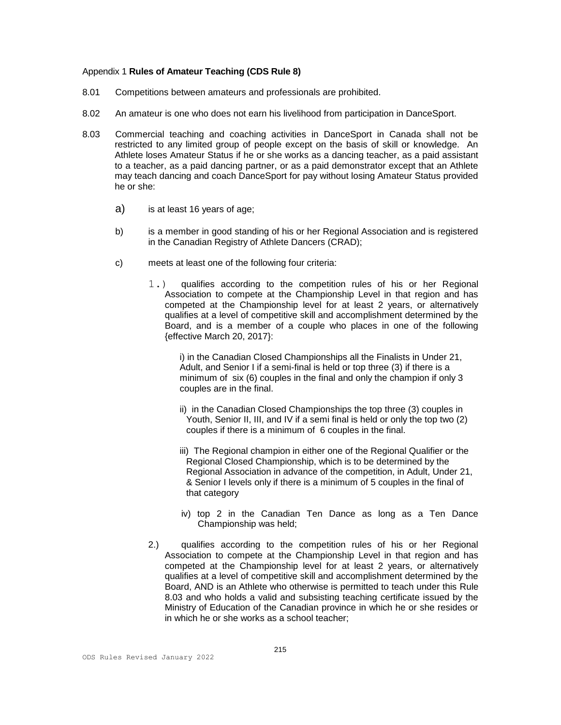#### Appendix 1 **Rules of Amateur Teaching (CDS Rule 8)**

- 8.01 Competitions between amateurs and professionals are prohibited.
- 8.02 An amateur is one who does not earn his livelihood from participation in DanceSport.
- 8.03 Commercial teaching and coaching activities in DanceSport in Canada shall not be restricted to any limited group of people except on the basis of skill or knowledge. An Athlete loses Amateur Status if he or she works as a dancing teacher, as a paid assistant to a teacher, as a paid dancing partner, or as a paid demonstrator except that an Athlete may teach dancing and coach DanceSport for pay without losing Amateur Status provided he or she:
	- a) is at least 16 years of age;
	- b) is a member in good standing of his or her Regional Association and is registered in the Canadian Registry of Athlete Dancers (CRAD);
	- c) meets at least one of the following four criteria:
		- 1.) qualifies according to the competition rules of his or her Regional Association to compete at the Championship Level in that region and has competed at the Championship level for at least 2 years, or alternatively qualifies at a level of competitive skill and accomplishment determined by the Board, and is a member of a couple who places in one of the following {effective March 20, 2017}:

i) in the Canadian Closed Championships all the Finalists in Under 21, Adult, and Senior I if a semi-final is held or top three (3) if there is a minimum of six (6) couples in the final and only the champion if only 3 couples are in the final.

- ii) in the Canadian Closed Championships the top three (3) couples in Youth, Senior II, III, and IV if a semi final is held or only the top two (2) couples if there is a minimum of 6 couples in the final.
- iii) The Regional champion in either one of the Regional Qualifier or the Regional Closed Championship, which is to be determined by the Regional Association in advance of the competition, in Adult, Under 21, & Senior I levels only if there is a minimum of 5 couples in the final of that category
- iv) top 2 in the Canadian Ten Dance as long as a Ten Dance Championship was held;
- 2.) qualifies according to the competition rules of his or her Regional Association to compete at the Championship Level in that region and has competed at the Championship level for at least 2 years, or alternatively qualifies at a level of competitive skill and accomplishment determined by the Board, AND is an Athlete who otherwise is permitted to teach under this Rule 8.03 and who holds a valid and subsisting teaching certificate issued by the Ministry of Education of the Canadian province in which he or she resides or in which he or she works as a school teacher;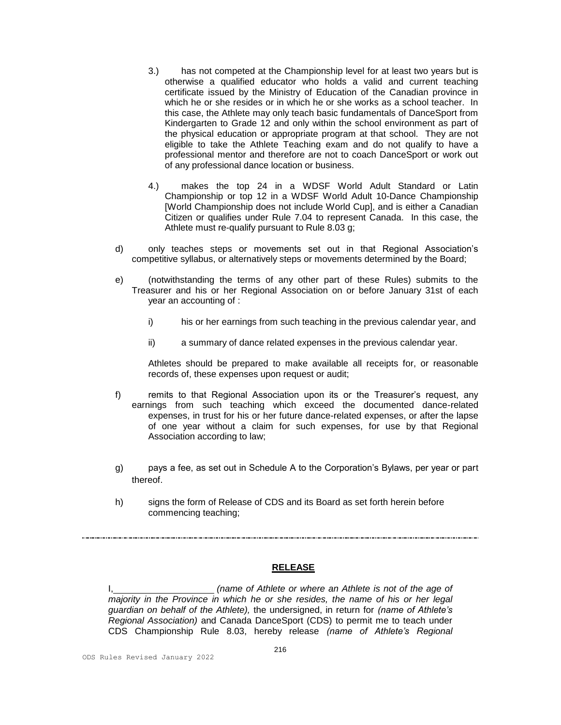- 3.) has not competed at the Championship level for at least two years but is otherwise a qualified educator who holds a valid and current teaching certificate issued by the Ministry of Education of the Canadian province in which he or she resides or in which he or she works as a school teacher. In this case, the Athlete may only teach basic fundamentals of DanceSport from Kindergarten to Grade 12 and only within the school environment as part of the physical education or appropriate program at that school. They are not eligible to take the Athlete Teaching exam and do not qualify to have a professional mentor and therefore are not to coach DanceSport or work out of any professional dance location or business.
- 4.) makes the top 24 in a WDSF World Adult Standard or Latin Championship or top 12 in a WDSF World Adult 10-Dance Championship [World Championship does not include World Cup], and is either a Canadian Citizen or qualifies under Rule 7.04 to represent Canada. In this case, the Athlete must re-qualify pursuant to Rule 8.03 g;
- d) only teaches steps or movements set out in that Regional Association's competitive syllabus, or alternatively steps or movements determined by the Board;
- e) (notwithstanding the terms of any other part of these Rules) submits to the Treasurer and his or her Regional Association on or before January 31st of each year an accounting of :
	- i) his or her earnings from such teaching in the previous calendar year, and
	- ii) a summary of dance related expenses in the previous calendar year.

Athletes should be prepared to make available all receipts for, or reasonable records of, these expenses upon request or audit;

- f) remits to that Regional Association upon its or the Treasurer's request, any earnings from such teaching which exceed the documented dance-related expenses, in trust for his or her future dance-related expenses, or after the lapse of one year without a claim for such expenses, for use by that Regional Association according to law;
- g) pays a fee, as set out in Schedule A to the Corporation's Bylaws, per year or part thereof.
- h) signs the form of Release of CDS and its Board as set forth herein before commencing teaching;

#### **RELEASE**

I, *(name of Athlete or where an Athlete is not of the age of majority in the Province in which he or she resides, the name of his or her legal guardian on behalf of the Athlete),* the undersigned, in return for *(name of Athlete's Regional Association)* and Canada DanceSport (CDS) to permit me to teach under CDS Championship Rule 8.03, hereby release *(name of Athlete's Regional*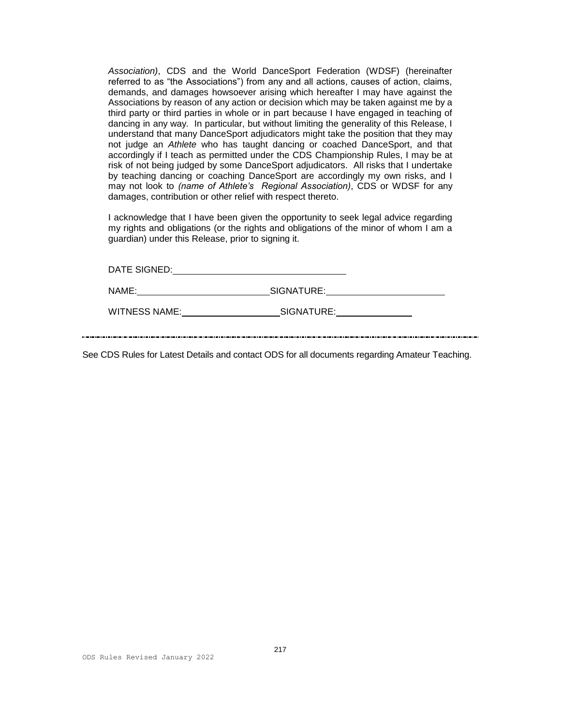*Association)*, CDS and the World DanceSport Federation (WDSF) (hereinafter referred to as "the Associations") from any and all actions, causes of action, claims, demands, and damages howsoever arising which hereafter I may have against the Associations by reason of any action or decision which may be taken against me by a third party or third parties in whole or in part because I have engaged in teaching of dancing in any way. In particular, but without limiting the generality of this Release, I understand that many DanceSport adjudicators might take the position that they may not judge an *Athlete* who has taught dancing or coached DanceSport, and that accordingly if I teach as permitted under the CDS Championship Rules, I may be at risk of not being judged by some DanceSport adjudicators. All risks that I undertake by teaching dancing or coaching DanceSport are accordingly my own risks, and I may not look to *(name of Athlete's Regional Association)*, CDS or WDSF for any damages, contribution or other relief with respect thereto.

I acknowledge that I have been given the opportunity to seek legal advice regarding my rights and obligations (or the rights and obligations of the minor of whom I am a guardian) under this Release, prior to signing it.

| DATE SIGNED:         |            |
|----------------------|------------|
| NAME:                | SIGNATURE: |
| <b>WITNESS NAME:</b> | SIGNATURE: |

See CDS Rules for Latest Details and contact ODS for all documents regarding Amateur Teaching.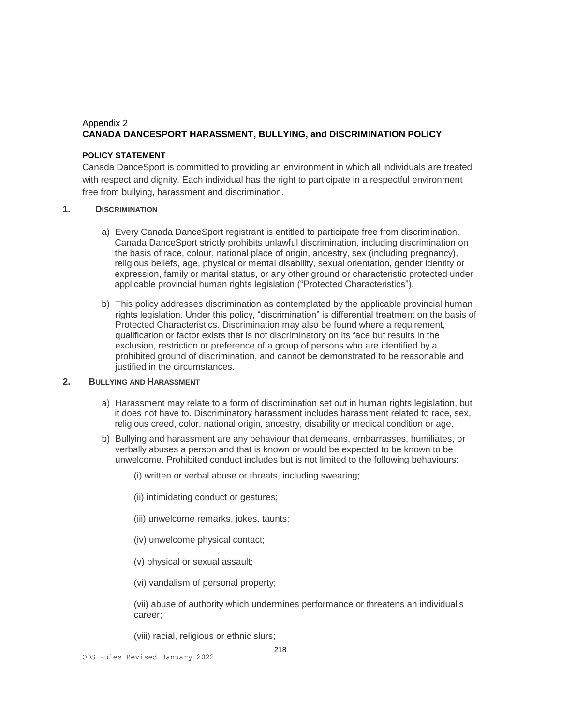# Appendix 2 **CANADA DANCESPORT HARASSMENT, BULLYING, and DISCRIMINATION POLICY**

### **POLICY STATEMENT**

Canada DanceSport is committed to providing an environment in which all individuals are treated with respect and dignity. Each individual has the right to participate in a respectful environment free from bullying, harassment and discrimination.

### **1. DISCRIMINATION**

- a) Every Canada DanceSport registrant is entitled to participate free from discrimination. Canada DanceSport strictly prohibits unlawful discrimination, including discrimination on the basis of race, colour, national place of origin, ancestry, sex (including pregnancy), religious beliefs, age, physical or mental disability, sexual orientation, gender identity or expression, family or marital status, or any other ground or characteristic protected under applicable provincial human rights legislation ("Protected Characteristics").
- b) This policy addresses discrimination as contemplated by the applicable provincial human rights legislation. Under this policy, "discrimination" is differential treatment on the basis of Protected Characteristics. Discrimination may also be found where a requirement, qualification or factor exists that is not discriminatory on its face but results in the exclusion, restriction or preference of a group of persons who are identified by a prohibited ground of discrimination, and cannot be demonstrated to be reasonable and justified in the circumstances.

#### **2. BULLYING AND HARASSMENT**

- a) Harassment may relate to a form of discrimination set out in human rights legislation, but it does not have to. Discriminatory harassment includes harassment related to race, sex, religious creed, color, national origin, ancestry, disability or medical condition or age.
- b) Bullying and harassment are any behaviour that demeans, embarrasses, humiliates, or verbally abuses a person and that is known or would be expected to be known to be unwelcome. Prohibited conduct includes but is not limited to the following behaviours:
	- (i) written or verbal abuse or threats, including swearing;
	- (ii) intimidating conduct or gestures;
	- (iii) unwelcome remarks, jokes, taunts;
	- (iv) unwelcome physical contact;
	- (v) physical or sexual assault;
	- (vi) vandalism of personal property;

(vii) abuse of authority which undermines performance or threatens an individual's career;

218

(viii) racial, religious or ethnic slurs;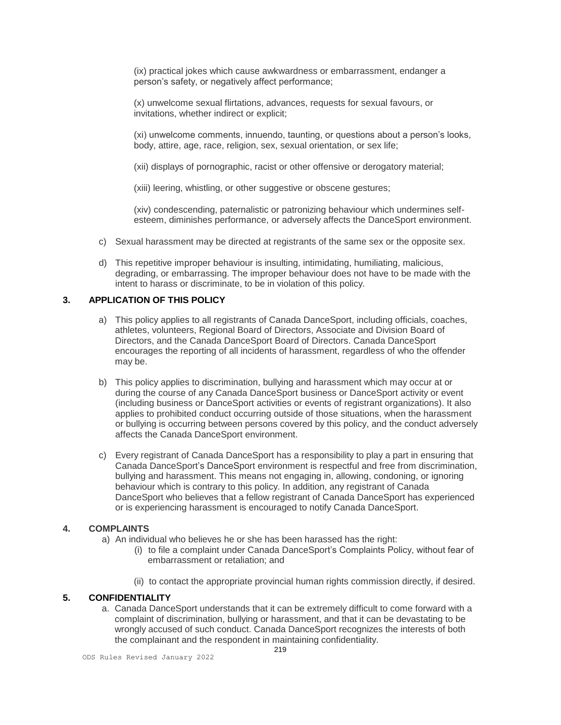(ix) practical jokes which cause awkwardness or embarrassment, endanger a person's safety, or negatively affect performance;

(x) unwelcome sexual flirtations, advances, requests for sexual favours, or invitations, whether indirect or explicit;

(xi) unwelcome comments, innuendo, taunting, or questions about a person's looks, body, attire, age, race, religion, sex, sexual orientation, or sex life;

(xii) displays of pornographic, racist or other offensive or derogatory material;

(xiii) leering, whistling, or other suggestive or obscene gestures;

(xiv) condescending, paternalistic or patronizing behaviour which undermines selfesteem, diminishes performance, or adversely affects the DanceSport environment.

- c) Sexual harassment may be directed at registrants of the same sex or the opposite sex.
- d) This repetitive improper behaviour is insulting, intimidating, humiliating, malicious, degrading, or embarrassing. The improper behaviour does not have to be made with the intent to harass or discriminate, to be in violation of this policy.

## **3. APPLICATION OF THIS POLICY**

- a) This policy applies to all registrants of Canada DanceSport, including officials, coaches, athletes, volunteers, Regional Board of Directors, Associate and Division Board of Directors, and the Canada DanceSport Board of Directors. Canada DanceSport encourages the reporting of all incidents of harassment, regardless of who the offender may be.
- b) This policy applies to discrimination, bullying and harassment which may occur at or during the course of any Canada DanceSport business or DanceSport activity or event (including business or DanceSport activities or events of registrant organizations). It also applies to prohibited conduct occurring outside of those situations, when the harassment or bullying is occurring between persons covered by this policy, and the conduct adversely affects the Canada DanceSport environment.
- c) Every registrant of Canada DanceSport has a responsibility to play a part in ensuring that Canada DanceSport's DanceSport environment is respectful and free from discrimination, bullying and harassment. This means not engaging in, allowing, condoning, or ignoring behaviour which is contrary to this policy. In addition, any registrant of Canada DanceSport who believes that a fellow registrant of Canada DanceSport has experienced or is experiencing harassment is encouraged to notify Canada DanceSport.

# **4. COMPLAINTS**

- a) An individual who believes he or she has been harassed has the right:
	- (i) to file a complaint under Canada DanceSport's Complaints Policy, without fear of embarrassment or retaliation; and
	- (ii) to contact the appropriate provincial human rights commission directly, if desired.

## **5. CONFIDENTIALITY**

a. Canada DanceSport understands that it can be extremely difficult to come forward with a complaint of discrimination, bullying or harassment, and that it can be devastating to be wrongly accused of such conduct. Canada DanceSport recognizes the interests of both the complainant and the respondent in maintaining confidentiality.